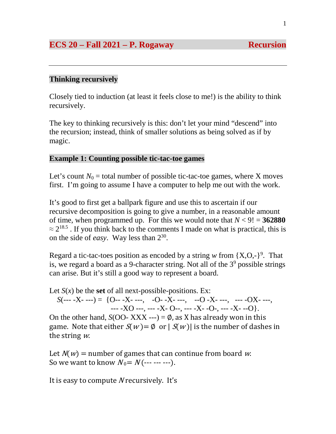# **ECS 20 – Fall 2021 – P. Rogaway Recursion**

# **Thinking recursively**

Closely tied to induction (at least it feels close to me!) is the ability to think recursively.

The key to thinking recursively is this: don't let your mind "descend" into the recursion; instead, think of smaller solutions as being solved as if by magic.

## **Example 1: Counting possible tic-tac-toe games**

Let's count  $N_0$  = total number of possible tic-tac-toe games, where X moves first. I'm going to assume I have a computer to help me out with the work.

It's good to first get a ballpark figure and use this to ascertain if our recursive decomposition is going to give a number, in a reasonable amount of time, when programmed up. For this we would note that  $N < 9! = 362880$  $\approx$  2<sup>18.5</sup>. If you think back to the comments I made on what is practical, this is on the side of *easy*. Way less than 230.

Regard a tic-tac-toes position as encoded by a string  $w$  from  $\{X, O, -\}^9$ . That is, we regard a board as a 9-character string. Not all of the  $3<sup>9</sup>$  possible strings can arise. But it's still a good way to represent a board.

Let  $S(x)$  be the **set** of all next-possible-positions. Ex:

 $S(\text{---} -X \text{---}) = \{O - -X \text{---}, \quad -O - X \text{---}, \quad -O - X \text{---}, \quad -O - X \text{---}, \quad -O - X \text{---}$  $- -X_0 - -X_1 - -X_2 - - -X_3 -X_4 - -X_5 - -X_6$ 

On the other hand,  $S(OO-XXX ---) = \emptyset$ , as X has already won in this game. Note that either  $S(w) = \emptyset$  or  $|S(w)|$  is the number of dashes in the string  $w$ .

Let  $N(w)$  = number of games that can continue from board w. So we want to know  $N_0 = N$  (--- --- ---).

It is easy to compute N recursively. It's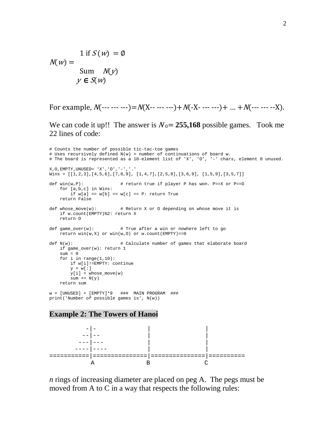1 if  $S(w) = \emptyset$  $N(w) =$ Sum  $N(y)$  $y \in S(w)$ 

For example,  $N$ (--- --- ---)= $N$ (X-- --- ---)+ $N$ (-X- --- ---)+ ... + $N$ (--- --- --X).

We can code it up!! The answer is  $N_0 = 255,168$  possible games. Took me 22 lines of code:

```
# Counts the number of possible tic-tac-toe games 
# Uses recursively defined N(w) = number of continuations of board w. 
# The board is represented as a 10-element list of 'X', 'O', '-' chars, element 0 unused. 
X,O,EMPTY,UNUSED= 'X','O','-','.'
Wins = [1,2,3], [4,5,6], [7,8,9], [1,4,7], [2,5,8], [3,6,9], [1,5,9], [3,5,7]]def win(w,P): # return true if player P has won. P==X or P==O
    for [a,b,c] in Wins:
       if w[a] == w[b] == w[c] == P: return True return False
def whose move(w): \# Return X or O depending on whose move it is
    if w.count(EMPTY)%2: return X
    return O
def game_over(w): # True after a win or nowhere left to go 
    return win(w,X) or win(w,0) or w.count(EMPTY)=0def N(w): # Calculate number of games that elaborate board 
    if game_over(w): return 1
   sum = 0for i in range(1,10):
        if w[i]!=EMPTY: continue
       v = w[:1]y[i] = whose_move(w)sum + = N(y) return sum 
w = [UNUSED] + [EMPTY]*9 ### MAIN PROGRAM ###
print('Number of possible games is', N(w))
```
#### **Example 2: The Towers of Hanoi**



*n* rings of increasing diameter are placed on peg A. The pegs must be moved from A to C in a way that respects the following rules: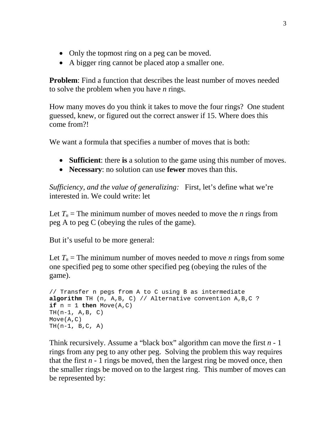- Only the topmost ring on a peg can be moved.
- A bigger ring cannot be placed atop a smaller one.

**Problem**: Find a function that describes the least number of moves needed to solve the problem when you have *n* rings.

How many moves do you think it takes to move the four rings? One student guessed, knew, or figured out the correct answer if 15. Where does this come from?!

We want a formula that specifies a number of moves that is both:

- **Sufficient**: there **is** a solution to the game using this number of moves.
- **Necessary**: no solution can use **fewer** moves than this.

*Sufficiency, and the value of generalizing:* First, let's define what we're interested in. We could write: let

Let  $T_n$  = The minimum number of moves needed to move the *n* rings from peg A to peg C (obeying the rules of the game).

But it's useful to be more general:

Let  $T_n$  = The minimum number of moves needed to move *n* rings from some one specified peg to some other specified peg (obeying the rules of the game).

```
// Transfer n pegs from A to C using B as intermediate
algorithm TH (n, A,B, C) // Alternative convention A,B,C ?
if n = 1 then Move(A, C)TH(n-1, A, B, C)Move(A,C)
TH(n-1, B, C, A)
```
Think recursively. Assume a "black box" algorithm can move the first *n* - 1 rings from any peg to any other peg. Solving the problem this way requires that the first  $n - 1$  rings be moved, then the largest ring be moved once, then the smaller rings be moved on to the largest ring. This number of moves can be represented by: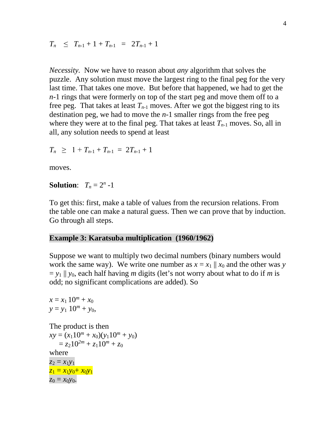$T_n \leq T_{n-1} + 1 + T_{n-1} = 2T_{n-1} + 1$ 

*Necessity.*Now we have to reason about *any* algorithm that solves the puzzle. Any solution must move the largest ring to the final peg for the very last time. That takes one move. But before that happened, we had to get the *n*-1 rings that were formerly on top of the start peg and move them off to a free peg. That takes at least  $T_{n-1}$  moves. After we got the biggest ring to its destination peg, we had to move the *n*-1 smaller rings from the free peg where they were at to the final peg. That takes at least  $T_{n-1}$  moves. So, all in all, any solution needs to spend at least

$$
T_n \geq 1 + T_{n-1} + T_{n-1} = 2T_{n-1} + 1
$$

moves.

#### **Solution:**  $T_n = 2^n -1$

To get this: first, make a table of values from the recursion relations. From the table one can make a natural guess. Then we can prove that by induction. Go through all steps.

#### **Example 3: Karatsuba multiplication (1960/1962)**

Suppose we want to multiply two decimal numbers (binary numbers would work the same way). We write one number as  $x = x_1 \parallel x_0$  and the other was *y*  $=$   $y_1$   $\parallel$   $y_0$ , each half having *m* digits (let's not worry about what to do if *m* is odd; no significant complications are added). So

 $x = x_1 10^m + x_0$  $y = y_1$  10<sup>*m*</sup> + *y*<sub>0</sub>, The product is then  $xy = (x_1 10^m + x_0)(y_1 10^m + y_0)$  $= z_2 10^{2m} + z_1 10^m + z_0$ where  $z_2 = x_1y_1$  $z_1 = x_1y_0 + x_0y_1$  $z_0 = x_0 y_0$ .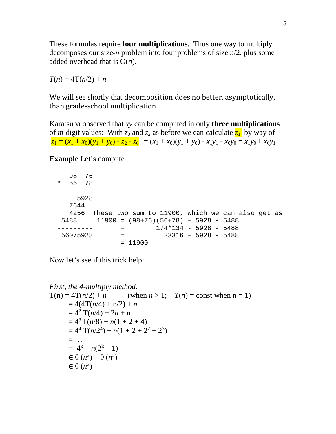These formulas require **four multiplications**. Thus one way to multiply decomposes our size-*n* problem into four problems of size *n*/2, plus some added overhead that is O(*n*).

 $T(n) = 4T(n/2) + n$ 

We will see shortly that decomposition does no better, asymptotically, than grade-school multiplication.

Karatsuba observed that *xy* can be computed in only **three multiplications** of *m*-digit values: With  $z_0$  and  $z_2$  as before we can calculate  $\overline{z_1}$  by way of  $z_1 = (x_1 + x_0)(y_1 + y_0) - z_2 - z_0 = (x_1 + x_0)(y_1 + y_0) - x_1y_1 - x_0y_0 = x_1y_0 + x_0y_1$ 

**Example** Let's compute

| 98.      | 76    |                                                  |     |           |                                        |  |  |  |  |
|----------|-------|--------------------------------------------------|-----|-----------|----------------------------------------|--|--|--|--|
| $\star$  | 56 78 |                                                  |     |           |                                        |  |  |  |  |
|          |       |                                                  |     |           |                                        |  |  |  |  |
|          | 5928  |                                                  |     |           |                                        |  |  |  |  |
| 7644     |       |                                                  |     |           |                                        |  |  |  |  |
| 4256     |       | These two sum to 11900, which we can also get as |     |           |                                        |  |  |  |  |
| 5488     |       |                                                  |     |           | $11900 = (98+76)(56+78) - 5928 - 5488$ |  |  |  |  |
|          |       |                                                  |     |           | $174*134 - 5928 - 5488$                |  |  |  |  |
| 56075928 |       |                                                  | $=$ |           | $23316 - 5928 - 5488$                  |  |  |  |  |
|          |       |                                                  |     | $= 11900$ |                                        |  |  |  |  |
|          |       |                                                  |     |           |                                        |  |  |  |  |

Now let's see if this trick help:

First, the 4-multiply method:  
\n
$$
T(n) = 4T(n/2) + n \qquad \text{(when } n > 1; \quad T(n) = \text{const when } n = 1)
$$
\n
$$
= 4(4T(n/4) + n/2) + n
$$
\n
$$
= 4^2 T(n/4) + 2n + n
$$
\n
$$
= 4^3 T(n/8) + n(1 + 2 + 4)
$$
\n
$$
= 4^4 T(n/2^4) + n(1 + 2 + 2^2 + 2^3)
$$
\n
$$
= ...
$$
\n
$$
= 4^k + n(2^k - 1)
$$
\n
$$
\in \theta (n^2) + \theta (n^2)
$$
\n
$$
\in \theta (n^2)
$$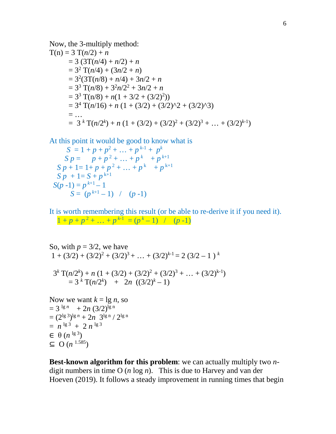Now, the 3-multiply method:  
\n
$$
T(n) = 3 T(n/2) + n
$$
\n
$$
= 3 (3T(n/4) + n/2) + n
$$
\n
$$
= 3^{2} T(n/4) + (3n/2 + n)
$$
\n
$$
= 3^{2} (3T(n/8) + n/4) + 3n/2 + n
$$
\n
$$
= 3^{3} T(n/8) + 3^{2}n/2^{2} + 3n/2 + n
$$
\n
$$
= 3^{3} T(n/8) + n(1 + 3/2 + (3/2)^{2}))
$$
\n
$$
= 3^{4} T(n/16) + n (1 + (3/2) + (3/2)^{4} + (3/2)^{3})
$$
\n
$$
= ...
$$
\n
$$
= 3^{k} T(n/2^{k}) + n (1 + (3/2) + (3/2)^{2} + (3/2)^{3} + ... + (3/2)^{k-1})
$$

At this point it would be good to know what is

 $S = 1 + p + p^2 + \dots + p^{k-1} + p^k$  $S p = p + p^2 + ... + p^k + p^{k+1}$  $S p + 1 = 1 + p + p^2 + \ldots + p^k + p^{k+1}$  $S p + 1 = S + p^{k+1}$  $S(p-1) = p^{k+1} - 1$  $S = (p^{k+1} - 1)$  /  $(p-1)$ 

It is worth remembering this result (or be able to re-derive it if you need it).  $1 + p + p^2 + \ldots + p^{k-1} = (p^k - 1)$  / (*p*-1)

So, with 
$$
p = 3/2
$$
, we have  
\n
$$
1 + (3/2) + (3/2)^2 + (3/2)^3 + \dots + (3/2)^{k-1} = 2 (3/2 - 1)^k
$$
\n
$$
3^k \text{T}(n/2^k) + n (1 + (3/2) + (3/2)^2 + (3/2)^3 + \dots + (3/2)^{k-1})
$$
\n
$$
= 3^k \text{T}(n/2^k) + 2n ((3/2)^k - 1)
$$
\nNow we want  $k = \lg n$ , so  
\n
$$
= 3^{\lg n} + 2n (3/2)^{\lg n}
$$
\n
$$
= (2^{\lg 3})^{\lg n} + 2n 3^{\lg n} / 2^{\lg n}
$$
\n
$$
= n^{\lg 3} + 2 n^{\lg 3}
$$
\n
$$
\in \Theta(n^{\lg 3})
$$
\n
$$
\subseteq \mathcal{O}(n^{1.585})
$$

**Best-known algorithm for this problem**: we can actually multiply two *n*digit numbers in time O (*n* log *n*). This is due to Harvey and van der Hoeven (2019). It follows a steady improvement in running times that begin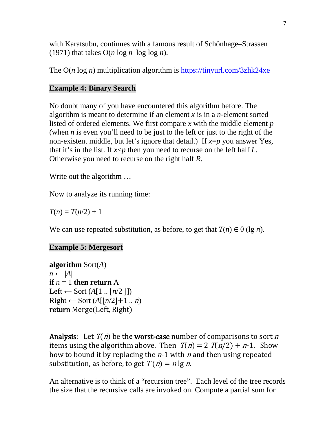with Karatsubu, continues with a famous result of Schönhage–Strassen (1971) that takes  $O(n \log n \log \log n)$ .

The O(*n* log *n*) multiplication algorithm is<https://tinyurl.com/3zhk24xe>

# **Example 4: Binary Search**

No doubt many of you have encountered this algorithm before. The algorithm is meant to determine if an element *x* is in a *n*-element sorted listed of ordered elements. We first compare *x* with the middle element *p* (when *n* is even you'll need to be just to the left or just to the right of the non-existent middle, but let's ignore that detail.) If *x*=*p* you answer Yes, that it's in the list. If *x*<*p* then you need to recurse on the left half *L*. Otherwise you need to recurse on the right half *R*.

Write out the algorithm …

Now to analyze its running time:

 $T(n) = T(n/2) + 1$ 

We can use repeated substitution, as before, to get that  $T(n) \in \theta$  (lg *n*).

# **Example 5: Mergesort**

**algorithm** Sort(*A*)  $n \leftarrow |A|$ **if**  $n = 1$  **then return** A Left  $\leftarrow$  Sort  $(A[1 \dots | n/2 \, ])$  $Right$  ← Sort  $(A[|n/2|+1..n])$ return Merge(Left, Right)

**Analysis:** Let  $T(n)$  be the **worst-case** number of comparisons to sort n items using the algorithm above. Then  $T(n) = 2 T(n/2) + n-1$ . Show how to bound it by replacing the  $n-1$  with n and then using repeated substitution, as before, to get  $T(n) = n \lg n$ .

An alternative is to think of a "recursion tree". Each level of the tree records the size that the recursive calls are invoked on. Compute a partial sum for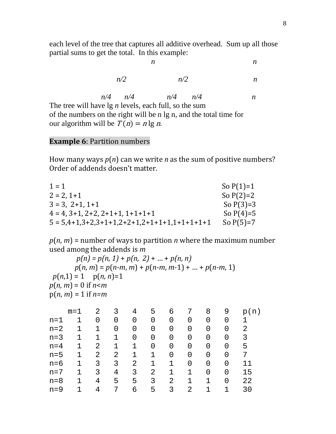each level of the tree that captures all additive overhead. Sum up all those partial sums to get the total. In this example:

|                                                                    | n   |   |  |  |  |  |  |  |  |
|--------------------------------------------------------------------|-----|---|--|--|--|--|--|--|--|
| n/2                                                                | n/2 | n |  |  |  |  |  |  |  |
| $n/4$ $n/4$ $n/4$ $n/4$                                            |     | n |  |  |  |  |  |  |  |
| The tree will have $\lg n$ levels, each full, so the sum           |     |   |  |  |  |  |  |  |  |
| of the numbers on the right will be n lg n, and the total time for |     |   |  |  |  |  |  |  |  |
| our algorithm will be $T(n) = n \lg n$ .                           |     |   |  |  |  |  |  |  |  |

## **Example 6**: Partition numbers

How many ways *p*(*n*) can we write *n* as the sum of positive numbers? Order of addends doesn't matter.

| So $P(1)=1$ |
|-------------|
| So $P(2)=2$ |
| So $P(3)=3$ |
| So $P(4)=5$ |
| So $P(5)=7$ |
|             |

 $p(n, m)$  = number of ways to partition *n* where the maximum number used among the addends is *m* 

 $p(n) = p(n, 1) + p(n, 2) + ... + p(n, n)$  *p*(*n, m*) = *p*(*n-m*, *m*) + *p*(*n-m*, *m*-1) + … + *p*(*n-m*, 1)  $p(n,1) = 1$   $p(n, n)=1$ *p*(*n, m*) = 0 if *n*<*m* p(*n*, *m*) = 1 if *n=m*

| $m=1$ | 2 | 3 | 4 | 5 | 6 |   | 8 | 9 | (n)<br>р |
|-------|---|---|---|---|---|---|---|---|----------|
| 1     | 0 | 0 | 0 | 0 | 0 | 0 | 0 | 0 |          |
|       | 1 | 0 | 0 | 0 | 0 | 0 | 0 | 0 | 2        |
| 1     |   | 1 | 0 | 0 | 0 | 0 | 0 | 0 | 3        |
| 1     | 2 | 1 | 1 | 0 | 0 | 0 | 0 | 0 | 5        |
|       | 2 | 2 | 1 |   | 0 | 0 | 0 | 0 | 7        |
| 1     | 3 | 3 | 2 |   |   | 0 | 0 | 0 | 11       |
|       | 3 | 4 | 3 | 2 | 1 | 1 | 0 | 0 | 15       |
|       | 4 | 5 | 5 | 3 | 2 | 1 | 1 | 0 | 22       |
|       | 4 |   | 6 | 5 | 3 | 2 | 1 |   | 30       |
|       |   |   |   |   |   |   |   |   |          |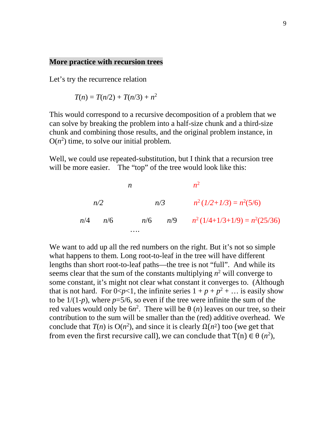### **More practice with recursion trees**

Let's try the recurrence relation

$$
T(n) = T(n/2) + T(n/3) + n^2
$$

This would correspond to a recursive decomposition of a problem that we can solve by breaking the problem into a half-size chunk and a third-size chunk and combining those results, and the original problem instance, in  $O(n^2)$  time, to solve our initial problem.

Well, we could use repeated-substitution, but I think that a recursion tree will be more easier. The "top" of the tree would look like this:

 *n n*<sup>2</sup> *n/2 n/3 n*2 (*1/2+1/3*) = *n*<sup>2</sup> (5/6)  *n*/4 *n*/6 *n*/6 *n*/9 *n*2 (1/4+1/3+1/9) = *n*<sup>2</sup> (25/36) ….

We want to add up all the red numbers on the right. But it's not so simple what happens to them. Long root-to-leaf in the tree will have different lengths than short root-to-leaf paths—the tree is not "full". And while its seems clear that the sum of the constants multiplying  $n^2$  will converge to some constant, it's might not clear what constant it converges to. (Although that is not hard. For  $0 \le p \le 1$ , the infinite series  $1 + p + p^2 + \dots$  is easily show to be  $1/(1-p)$ , where  $p=5/6$ , so even if the tree were infinite the sum of the red values would only be  $6n^2$ . There will be  $\theta$  (*n*) leaves on our tree, so their contribution to the sum will be smaller than the (red) additive overhead. We conclude that *T*(*n*) is O(*n*<sup>2</sup>), and since it is clearly  $Ω(n²)$  too (we get that from even the first recursive call), we can conclude that  $T(n) \in \Theta$   $(n^2)$ ,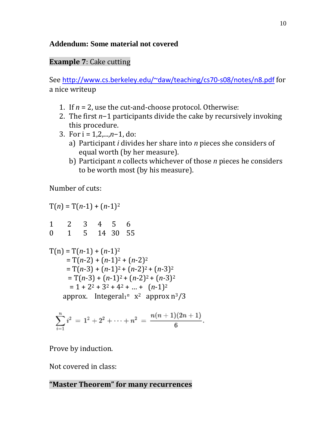# **Addendum: Some material not covered**

# **Example 7**: Cake cutting

See [http://www.cs.berkeley.edu/~daw/teaching/cs70-s08/notes/n8.pdf](http://www.cs.berkeley.edu/%7Edaw/teaching/cs70-s08/notes/n8.pdf) for a nice writeup

- 1. If  $n = 2$ , use the cut-and-choose protocol. Otherwise:
- 2. The first *n*−1 participants divide the cake by recursively invoking this procedure.
- 3. For i = 1,2,...,*n*−1, do:
	- a) Participant *i* divides her share into *n* pieces she considers of equal worth (by her measure).
	- b) Participant *n* collects whichever of those *n* pieces he considers to be worth most (by his measure).

Number of cuts:

 $T(n) = T(n-1) + (n-1)^2$ 1 2 3 4 5 6 0 1 5 14 30 55  $T(n) = T(n-1) + (n-1)^2$  $=$  T(*n*-2) + (*n*-1)<sup>2</sup> + (*n*-2)<sup>2</sup>  $=$  T(*n*-3) + (*n*-1)<sup>2</sup> + (*n*-2)<sup>2</sup> + (*n*-3)<sup>2</sup>  $=$  T(*n*-3) + (*n*-1)<sup>2</sup> + (*n*-2)<sup>2</sup> + (*n*-3)<sup>2</sup>  $= 1 + 2^2 + 3^2 + 4^2 + ... + (n-1)^2$ approx. Integeral $1^n$  x<sup>2</sup> approx  $n^3/3$ 

$$
\sum_{i=1}^n i^2 = 1^2 + 2^2 + \cdots + n^2 = \frac{n(n+1)(2n+1)}{6}.
$$

Prove by induction.

Not covered in class:

# **"Master Theorem" for many recurrences**